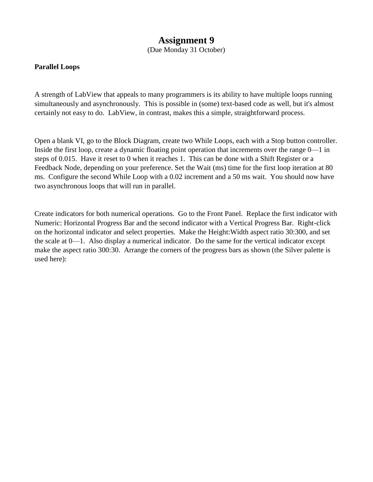## **Assignment 9**

(Due Monday 31 October)

## **Parallel Loops**

A strength of LabView that appeals to many programmers is its ability to have multiple loops running simultaneously and asynchronously. This is possible in (some) text-based code as well, but it's almost certainly not easy to do. LabView, in contrast, makes this a simple, straightforward process.

Open a blank VI, go to the Block Diagram, create two While Loops, each with a Stop button controller. Inside the first loop, create a dynamic floating point operation that increments over the range 0—1 in steps of 0.015. Have it reset to 0 when it reaches 1. This can be done with a Shift Register or a Feedback Node, depending on your preference. Set the Wait (ms) time for the first loop iteration at 80 ms. Configure the second While Loop with a 0.02 increment and a 50 ms wait. You should now have two asynchronous loops that will run in parallel.

Create indicators for both numerical operations. Go to the Front Panel. Replace the first indicator with Numeric: Horizontal Progress Bar and the second indicator with a Vertical Progress Bar. Right-click on the horizontal indicator and select properties. Make the Height:Width aspect ratio 30:300, and set the scale at 0—1. Also display a numerical indicator. Do the same for the vertical indicator except make the aspect ratio 300:30. Arrange the corners of the progress bars as shown (the Silver palette is used here):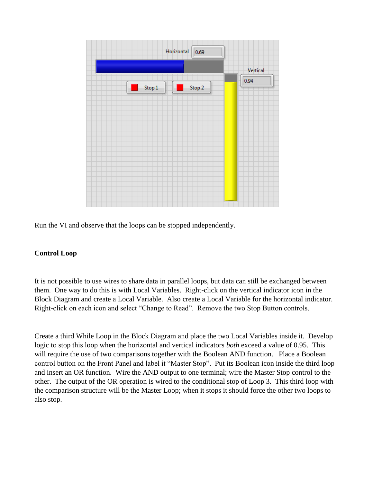

Run the VI and observe that the loops can be stopped independently.

## **Control Loop**

It is not possible to use wires to share data in parallel loops, but data can still be exchanged between them. One way to do this is with Local Variables. Right-click on the vertical indicator icon in the Block Diagram and create a Local Variable. Also create a Local Variable for the horizontal indicator. Right-click on each icon and select "Change to Read". Remove the two Stop Button controls.

Create a third While Loop in the Block Diagram and place the two Local Variables inside it. Develop logic to stop this loop when the horizontal and vertical indicators *both* exceed a value of 0.95. This will require the use of two comparisons together with the Boolean AND function. Place a Boolean control button on the Front Panel and label it "Master Stop". Put its Boolean icon inside the third loop and insert an OR function. Wire the AND output to one terminal; wire the Master Stop control to the other. The output of the OR operation is wired to the conditional stop of Loop 3. This third loop with the comparison structure will be the Master Loop; when it stops it should force the other two loops to also stop.